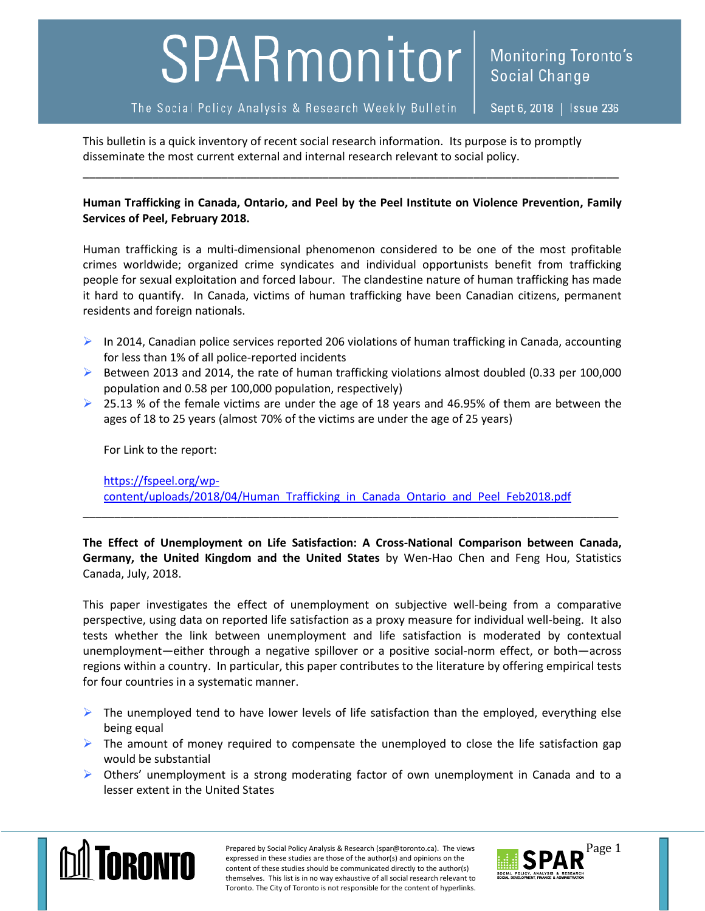## SPARmonitor

Sept 6, 2018 | Issue 236

This bulletin is a quick inventory of recent social research information. Its purpose is to promptly disseminate the most current external and internal research relevant to social policy.

**Human Trafficking in Canada, Ontario, and Peel by the Peel Institute on Violence Prevention, Family Services of Peel, February 2018.**

\_\_\_\_\_\_\_\_\_\_\_\_\_\_\_\_\_\_\_\_\_\_\_\_\_\_\_\_\_\_\_\_\_\_\_\_\_\_\_\_\_\_\_\_\_\_\_\_\_\_\_\_\_\_\_\_\_\_\_\_\_\_\_\_\_\_\_\_\_\_\_\_\_\_\_\_\_\_\_\_\_\_\_\_\_

Human trafficking is a multi-dimensional phenomenon considered to be one of the most profitable crimes worldwide; organized crime syndicates and individual opportunists benefit from trafficking people for sexual exploitation and forced labour. The clandestine nature of human trafficking has made it hard to quantify. In Canada, victims of human trafficking have been Canadian citizens, permanent residents and foreign nationals.

- $\triangleright$  In 2014, Canadian police services reported 206 violations of human trafficking in Canada, accounting for less than 1% of all police-reported incidents
- $\triangleright$  Between 2013 and 2014, the rate of human trafficking violations almost doubled (0.33 per 100,000 population and 0.58 per 100,000 population, respectively)
- $\geq$  25.13 % of the female victims are under the age of 18 years and 46.95% of them are between the ages of 18 to 25 years (almost 70% of the victims are under the age of 25 years)

For Link to the report:

[https://fspeel.org/wp](https://fspeel.org/wp-content/uploads/2018/04/Human_Trafficking_in_Canada_Ontario_and_Peel_Feb2018.pdf)[content/uploads/2018/04/Human\\_Trafficking\\_in\\_Canada\\_Ontario\\_and\\_Peel\\_Feb2018.pdf](https://fspeel.org/wp-content/uploads/2018/04/Human_Trafficking_in_Canada_Ontario_and_Peel_Feb2018.pdf)

**The Effect of Unemployment on Life Satisfaction: A Cross-National Comparison between Canada, Germany, the United Kingdom and the United States** by Wen-Hao Chen and Feng Hou, Statistics Canada, July, 2018.

\_\_\_\_\_\_\_\_\_\_\_\_\_\_\_\_\_\_\_\_\_\_\_\_\_\_\_\_\_\_\_\_\_\_\_\_\_\_\_\_\_\_\_\_\_\_\_\_\_\_\_\_\_\_\_\_\_\_\_\_\_\_\_\_\_\_\_\_\_\_\_\_\_\_\_\_\_\_\_\_\_\_\_\_\_

This paper investigates the effect of unemployment on subjective well-being from a comparative perspective, using data on reported life satisfaction as a proxy measure for individual well-being. It also tests whether the link between unemployment and life satisfaction is moderated by contextual unemployment—either through a negative spillover or a positive social-norm effect, or both—across regions within a country. In particular, this paper contributes to the literature by offering empirical tests for four countries in a systematic manner.

- $\triangleright$  The unemployed tend to have lower levels of life satisfaction than the employed, everything else being equal
- $\triangleright$  The amount of money required to compensate the unemployed to close the life satisfaction gap would be substantial
- $\triangleright$  Others' unemployment is a strong moderating factor of own unemployment in Canada and to a lesser extent in the United States



Prepared by Social Policy Analysis & Research (spar@toronto.ca). The views Page 1 expressed in these studies are those of the author(s) and opinions on the content of these studies should be communicated directly to the author(s) themselves. This list is in no way exhaustive of all social research relevant to Toronto. The City of Toronto is not responsible for the content of hyperlinks.

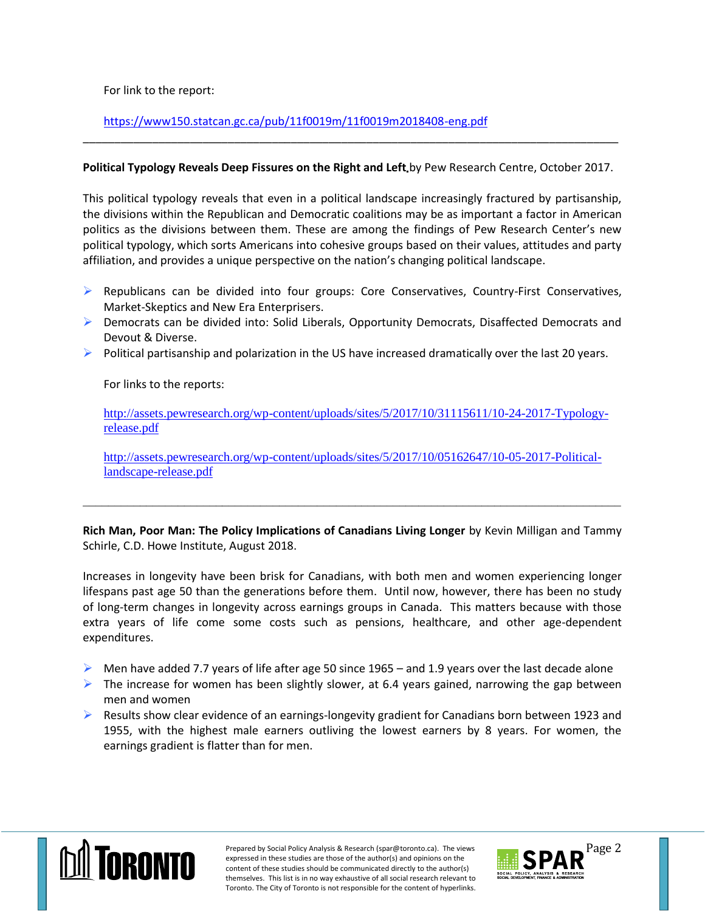For link to the report:

## <https://www150.statcan.gc.ca/pub/11f0019m/11f0019m2018408-eng.pdf>

## **Political Typology Reveals Deep Fissures on the Right and Left** by Pew Research Centre, October 2017.

\_\_\_\_\_\_\_\_\_\_\_\_\_\_\_\_\_\_\_\_\_\_\_\_\_\_\_\_\_\_\_\_\_\_\_\_\_\_\_\_\_\_\_\_\_\_\_\_\_\_\_\_\_\_\_\_\_\_\_\_\_\_\_\_\_\_\_\_\_\_\_\_\_\_\_\_\_\_\_\_\_\_\_\_\_

This political typology reveals that even in a political landscape increasingly fractured by partisanship, the divisions within the Republican and Democratic coalitions may be as important a factor in American politics as the divisions between them. These are among the findings of Pew Research Center's new political typology, which sorts Americans into cohesive groups based on their values, attitudes and party affiliation, and provides a unique perspective on the nation's changing political landscape.

- $\triangleright$  Republicans can be divided into four groups: Core Conservatives, Country-First Conservatives, Market-Skeptics and New Era Enterprisers.
- ▶ Democrats can be divided into: Solid Liberals, Opportunity Democrats, Disaffected Democrats and Devout & Diverse.
- $\triangleright$  Political partisanship and polarization in the US have increased dramatically over the last 20 years.

For links to the reports:

[http://assets.pewresearch.org/wp-content/uploads/sites/5/2017/10/31115611/10-24-2017-Typology](http://assets.pewresearch.org/wp-content/uploads/sites/5/2017/10/31115611/10-24-2017-Typology-release.pdf)[release.pdf](http://assets.pewresearch.org/wp-content/uploads/sites/5/2017/10/31115611/10-24-2017-Typology-release.pdf)

[http://assets.pewresearch.org/wp-content/uploads/sites/5/2017/10/05162647/10-05-2017-Political](http://assets.pewresearch.org/wp-content/uploads/sites/5/2017/10/05162647/10-05-2017-Political-landscape-release.pdf)[landscape-release.pdf](http://assets.pewresearch.org/wp-content/uploads/sites/5/2017/10/05162647/10-05-2017-Political-landscape-release.pdf)

\_\_\_\_\_\_\_\_\_\_\_\_\_\_\_\_\_\_\_\_\_\_\_\_\_\_\_\_\_\_\_\_\_\_\_\_\_\_\_\_\_\_\_\_\_\_\_\_\_\_\_\_\_\_\_\_\_\_\_\_\_\_\_\_\_\_\_\_\_\_\_\_\_\_\_\_\_\_\_\_\_\_\_\_\_

**Rich Man, Poor Man: The Policy Implications of Canadians Living Longer** by Kevin Milligan and Tammy Schirle, C.D. Howe Institute, August 2018.

Increases in longevity have been brisk for Canadians, with both men and women experiencing longer lifespans past age 50 than the generations before them. Until now, however, there has been no study of long-term changes in longevity across earnings groups in Canada. This matters because with those extra years of life come some costs such as pensions, healthcare, and other age-dependent expenditures.

- $\triangleright$  Men have added 7.7 years of life after age 50 since 1965 and 1.9 years over the last decade alone
- $\triangleright$  The increase for women has been slightly slower, at 6.4 years gained, narrowing the gap between men and women
- $\triangleright$  Results show clear evidence of an earnings-longevity gradient for Canadians born between 1923 and 1955, with the highest male earners outliving the lowest earners by 8 years. For women, the earnings gradient is flatter than for men.